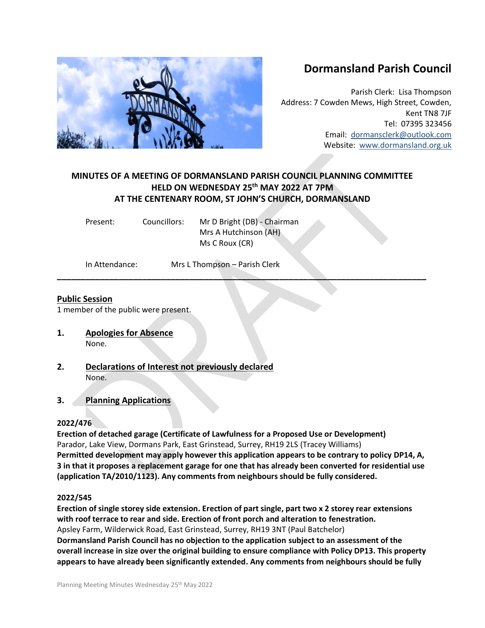# **Dormansland Parish Council**

Parish Clerk: Lisa Thompson Address: 7 Cowden Mews, High Street, Cowden, Kent TN8 7JF Tel: 07395 323456 Email: [dormansclerk@outlook.com](mailto:dormansclerk@outlook.com) Website: [www.dormansland.org.uk](http://www.dormansland.org.uk/)

## **MINUTES OF A MEETING OF DORMANSLAND PARISH COUNCIL PLANNING COMMITTEE HELD ON WEDNESDAY 25 th MAY 2022 AT 7PM AT THE CENTENARY ROOM, ST JOHN'S CHURCH, DORMANSLAND**

**\_\_\_\_\_\_\_\_\_\_\_\_\_\_\_\_\_\_\_\_\_\_\_\_\_\_\_\_\_\_\_\_\_\_\_\_\_\_\_\_\_\_\_\_\_\_\_\_\_\_\_\_\_\_\_\_\_\_\_\_\_\_\_\_\_\_\_\_\_\_\_\_\_\_\_\_\_\_**

| Present: | Councillors: | Mr D Bright (DB) - Chairman |
|----------|--------------|-----------------------------|
|          |              | Mrs A Hutchinson (AH)       |
|          |              | Ms C Roux (CR)              |
|          |              |                             |

In Attendance: Mrs L Thompson – Parish Clerk

## **Public Session**

1 member of the public were present.

- **1. Apologies for Absence**  None.
- **2. Declarations of Interest not previously declared** None.
- **3. Planning Applications**

## **2022/476**

**Erection of detached garage (Certificate of Lawfulness for a Proposed Use or Development)** Parador, Lake View, Dormans Park, East Grinstead, Surrey, RH19 2LS (Tracey Williams) **Permitted development may apply however this application appears to be contrary to policy DP14, A, 3 in that it proposes a replacement garage for one that has already been converted for residential use (application TA/2010/1123). Any comments from neighbours should be fully considered.**

## **2022/545**

**Erection of single storey side extension. Erection of part single, part two x 2 storey rear extensions with roof terrace to rear and side. Erection of front porch and alteration to fenestration.** Apsley Farm, Wilderwick Road, East Grinstead, Surrey, RH19 3NT (Paul Batchelor) **Dormansland Parish Council has no objection to the application subject to an assessment of the overall increase in size over the original building to ensure compliance with Policy DP13. This property appears to have already been significantly extended. Any comments from neighbours should be fully**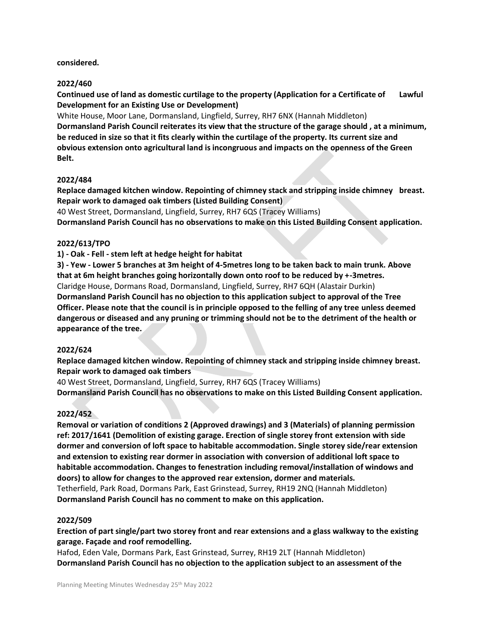#### **considered.**

#### **2022/460**

**Continued use of land as domestic curtilage to the property (Application for a Certificate of Lawful Development for an Existing Use or Development)**

White House, Moor Lane, Dormansland, Lingfield, Surrey, RH7 6NX (Hannah Middleton) **Dormansland Parish Council reiterates its view that the structure of the garage should , at a minimum, be reduced in size so that it fits clearly within the curtilage of the property. Its current size and obvious extension onto agricultural land is incongruous and impacts on the openness of the Green Belt.**

#### **2022/484**

**Replace damaged kitchen window. Repointing of chimney stack and stripping inside chimney breast. Repair work to damaged oak timbers (Listed Building Consent)**

40 West Street, Dormansland, Lingfield, Surrey, RH7 6QS (Tracey Williams)

**Dormansland Parish Council has no observations to make on this Listed Building Consent application.**

#### **2022/613/TPO**

**1) - Oak - Fell - stem left at hedge height for habitat** 

**3) - Yew - Lower 5 branches at 3m height of 4-5metres long to be taken back to main trunk. Above that at 6m height branches going horizontally down onto roof to be reduced by +-3metres.** Claridge House, Dormans Road, Dormansland, Lingfield, Surrey, RH7 6QH (Alastair Durkin) **Dormansland Parish Council has no objection to this application subject to approval of the Tree Officer. Please note that the council is in principle opposed to the felling of any tree unless deemed dangerous or diseased and any pruning or trimming should not be to the detriment of the health or appearance of the tree.**

#### **2022/624**

**Replace damaged kitchen window. Repointing of chimney stack and stripping inside chimney breast. Repair work to damaged oak timbers**

40 West Street, Dormansland, Lingfield, Surrey, RH7 6QS (Tracey Williams)

**Dormansland Parish Council has no observations to make on this Listed Building Consent application.**

#### **2022/452**

**Removal or variation of conditions 2 (Approved drawings) and 3 (Materials) of planning permission ref: 2017/1641 (Demolition of existing garage. Erection of single storey front extension with side dormer and conversion of loft space to habitable accommodation. Single storey side/rear extension and extension to existing rear dormer in association with conversion of additional loft space to habitable accommodation. Changes to fenestration including removal/installation of windows and doors) to allow for changes to the approved rear extension, dormer and materials.** Tetherfield, Park Road, Dormans Park, East Grinstead, Surrey, RH19 2NQ (Hannah Middleton) **Dormansland Parish Council has no comment to make on this application.**

#### **2022/509**

**Erection of part single/part two storey front and rear extensions and a glass walkway to the existing garage. Façade and roof remodelling.**

Hafod, Eden Vale, Dormans Park, East Grinstead, Surrey, RH19 2LT (Hannah Middleton) **Dormansland Parish Council has no objection to the application subject to an assessment of the**